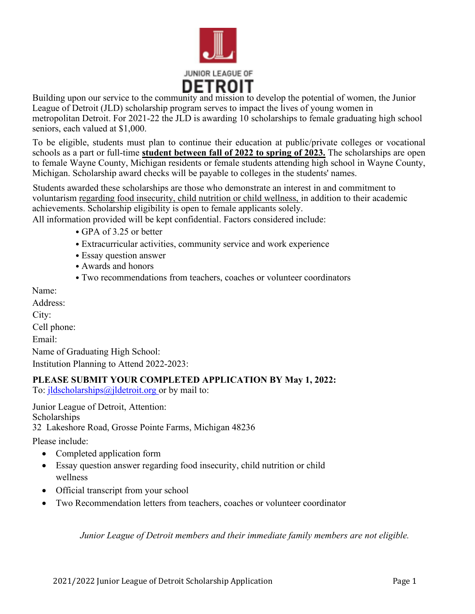

Building upon our service to the community and mission to develop the potential of women, the Junior League of Detroit (JLD) scholarship program serves to impact the lives of young women in metropolitan Detroit. For 2021-22 the JLD is awarding 10 scholarships to female graduating high school seniors, each valued at \$1,000.

To be eligible, students must plan to continue their education at public/private colleges or vocational schools as a part or full-time **student between fall of 2022 to spring of 2023.** The scholarships are open to female Wayne County, Michigan residents or female students attending high school in Wayne County, Michigan. Scholarship award checks will be payable to colleges in the students' names.

Students awarded these scholarships are those who demonstrate an interest in and commitment to voluntarism regarding food insecurity, child nutrition or child wellness, in addition to their academic achievements. Scholarship eligibility is open to female applicants solely.

All information provided will be kept confidential. Factors considered include:

- GPA of 3.25 or better
- Extracurricular activities, community service and work experience
- Essay question answer
- Awards and honors
- Two recommendations from teachers, coaches or volunteer coordinators

Name:

Address: City: Cell phone: Email: Name of Graduating High School: Institution Planning to Attend 2022-2023:

## **PLEASE SUBMIT YOUR COMPLETED APPLICATION BY May 1, 2022:**

To: *jldscholarships@jldetroit.org* or by mail to:

Junior League of Detroit, Attention: Scholarships 32 Lakeshore Road, Grosse Pointe Farms, Michigan 48236

Please include:

- Completed application form
- Essay question answer regarding food insecurity, child nutrition or child wellness
- Official transcript from your school
- Two Recommendation letters from teachers, coaches or volunteer coordinator

*Junior League of Detroit members and their immediate family members are not eligible.*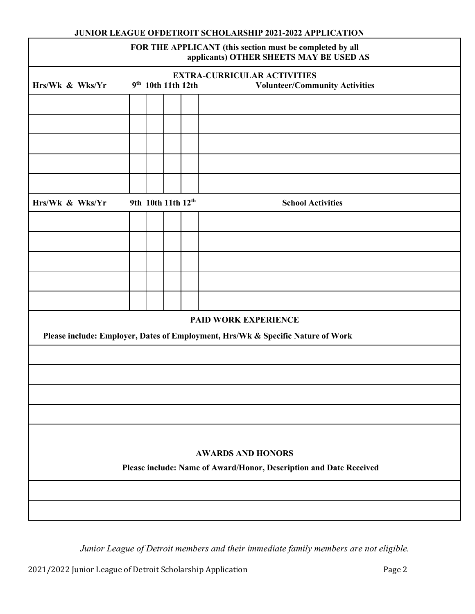| <b>JUNIOR LEAGUE OFDETROIT SCHOLARSHIP 2021-2022 APPLICATION</b>                                    |  |                    |  |  |                             |
|-----------------------------------------------------------------------------------------------------|--|--------------------|--|--|-----------------------------|
| FOR THE APPLICANT (this section must be completed by all<br>applicants) OTHER SHEETS MAY BE USED AS |  |                    |  |  |                             |
| <b>EXTRA-CURRICULAR ACTIVITIES</b>                                                                  |  |                    |  |  |                             |
| 9 <sup>th</sup> 10th 11th 12th<br><b>Volunteer/Community Activities</b><br>Hrs/Wk & Wks/Yr          |  |                    |  |  |                             |
|                                                                                                     |  |                    |  |  |                             |
|                                                                                                     |  |                    |  |  |                             |
|                                                                                                     |  |                    |  |  |                             |
|                                                                                                     |  |                    |  |  |                             |
|                                                                                                     |  |                    |  |  |                             |
|                                                                                                     |  |                    |  |  |                             |
|                                                                                                     |  |                    |  |  |                             |
| Hrs/Wk & Wks/Yr                                                                                     |  | 9th 10th 11th 12th |  |  | <b>School Activities</b>    |
|                                                                                                     |  |                    |  |  |                             |
|                                                                                                     |  |                    |  |  |                             |
|                                                                                                     |  |                    |  |  |                             |
|                                                                                                     |  |                    |  |  |                             |
|                                                                                                     |  |                    |  |  |                             |
|                                                                                                     |  |                    |  |  | <b>PAID WORK EXPERIENCE</b> |
| Please include: Employer, Dates of Employment, Hrs/Wk & Specific Nature of Work                     |  |                    |  |  |                             |
|                                                                                                     |  |                    |  |  |                             |
|                                                                                                     |  |                    |  |  |                             |
|                                                                                                     |  |                    |  |  |                             |
|                                                                                                     |  |                    |  |  |                             |
|                                                                                                     |  |                    |  |  |                             |
| <b>AWARDS AND HONORS</b>                                                                            |  |                    |  |  |                             |
| Please include: Name of Award/Honor, Description and Date Received                                  |  |                    |  |  |                             |
|                                                                                                     |  |                    |  |  |                             |
|                                                                                                     |  |                    |  |  |                             |

*Junior League of Detroit members and their immediate family members are not eligible.*